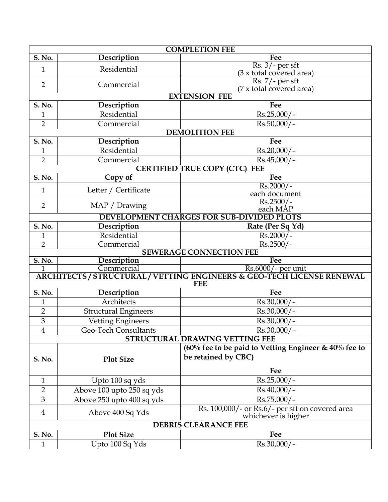| <b>COMPLETION FEE</b>       |                             |                                                                                                       |  |  |  |  |
|-----------------------------|-----------------------------|-------------------------------------------------------------------------------------------------------|--|--|--|--|
| S. No.                      | Description<br>Fee          |                                                                                                       |  |  |  |  |
| $\mathbf{1}$                | Residential                 | $Rs. 3/- per st$<br>(3 x total covered area)                                                          |  |  |  |  |
| $\overline{2}$              | Commercial                  | $\frac{7}{7}$ Rs. 7/ - per sft<br>(7 x total covered area)                                            |  |  |  |  |
|                             |                             | <b>EXTENSION FEE</b>                                                                                  |  |  |  |  |
| S. No.                      | Description                 | Fee                                                                                                   |  |  |  |  |
| 1                           | Residential                 | $Rs.25,000/-$                                                                                         |  |  |  |  |
| $\overline{2}$              | Commercial                  | Rs.50,000/-                                                                                           |  |  |  |  |
|                             |                             | <b>DEMOLITION FEE</b>                                                                                 |  |  |  |  |
| S. No.                      | Description                 | Fee                                                                                                   |  |  |  |  |
| $\mathbf{1}$                | Residential                 | Rs.20,000/-                                                                                           |  |  |  |  |
| $\overline{2}$              | Commercial                  | $Rs.45,000/-$                                                                                         |  |  |  |  |
|                             |                             | <b>CERTIFIED TRUE COPY (CTC)</b><br><b>FEE</b>                                                        |  |  |  |  |
| <b>S. No.</b>               | Copy of                     | Fee                                                                                                   |  |  |  |  |
| $\mathbf{1}$                | Letter / Certificate        | $Rs.2000/-$                                                                                           |  |  |  |  |
|                             |                             | each document                                                                                         |  |  |  |  |
| $\overline{2}$              | MAP / Drawing               | $Rs.2500/-$<br>each MAP                                                                               |  |  |  |  |
|                             |                             | <b>DEVELOPMENT CHARGES FOR SUB-DIVIDED PLOTS</b>                                                      |  |  |  |  |
| S. No.                      | Description                 | Rate (Per Sq Yd)                                                                                      |  |  |  |  |
| 1                           | Residential                 | $Rs.2000/-$                                                                                           |  |  |  |  |
| $\overline{2}$              | Commercial                  | $Rs.2500/-$                                                                                           |  |  |  |  |
|                             |                             | <b>SEWERAGE CONNECTION FEE</b>                                                                        |  |  |  |  |
| $\overline{S. No.}$         | Description                 | Fee                                                                                                   |  |  |  |  |
|                             |                             | 1 Commercial Rs.6000/- per unit<br>ARCHITECTS/STRUCTURAL/VETTING ENGINEERS & GEO-TECH LICENSE RENEWAL |  |  |  |  |
|                             |                             | <b>FEE</b>                                                                                            |  |  |  |  |
| <b>S. No.</b>               | Description                 | Fee                                                                                                   |  |  |  |  |
| $\mathbf{1}$                | Architects                  | Rs.30,000/-                                                                                           |  |  |  |  |
| $\overline{2}$              | <b>Structural Engineers</b> | $Rs.30,000/-$                                                                                         |  |  |  |  |
| $\overline{3}$              | Vetting Engineers           | Rs.30,000/-                                                                                           |  |  |  |  |
| $\overline{\mathbf{4}}$     | <b>Geo-Tech Consultants</b> | Rs.30,000/-                                                                                           |  |  |  |  |
|                             |                             | <b>STRUCTURAL DRAWING VETTING FEE</b>                                                                 |  |  |  |  |
|                             |                             | $(60\%$ fee to be paid to Vetting Engineer & $40\%$ fee to                                            |  |  |  |  |
| S. No.                      | <b>Plot Size</b>            | be retained by CBC)                                                                                   |  |  |  |  |
|                             |                             |                                                                                                       |  |  |  |  |
|                             |                             | Fee                                                                                                   |  |  |  |  |
| $\mathbf{1}$                | Upto 100 sq yds             | Rs.25,000/-                                                                                           |  |  |  |  |
| $\overline{2}$              | Above 100 upto 250 sq yds   | Rs.40,000/-                                                                                           |  |  |  |  |
| 3                           | Above 250 upto 400 sq yds   | Rs.75,000/-                                                                                           |  |  |  |  |
| 4                           | Above 400 Sq Yds            | Rs. 100,000/- or Rs.6/- per sft on covered area<br>whichever is higher                                |  |  |  |  |
| <b>DEBRIS CLEARANCE FEE</b> |                             |                                                                                                       |  |  |  |  |
| S. No.                      | <b>Plot Size</b>            | Fee                                                                                                   |  |  |  |  |
| $\mathbf{1}$                | Upto 100 Sq Yds             | Rs.30,000/-                                                                                           |  |  |  |  |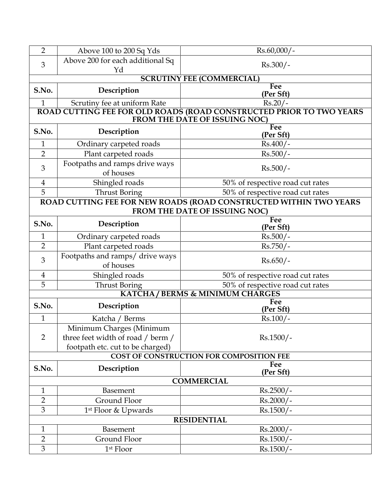| $\overline{2}$    | Above 100 to 200 Sq Yds<br>$Rs.60,000/-$                                                             |                                                                   |  |  |  |  |  |  |
|-------------------|------------------------------------------------------------------------------------------------------|-------------------------------------------------------------------|--|--|--|--|--|--|
| 3                 | Above 200 for each additional Sq                                                                     | $Rs.300/-$                                                        |  |  |  |  |  |  |
|                   | Yd                                                                                                   |                                                                   |  |  |  |  |  |  |
|                   | <b>SCRUTINY FEE (COMMERCIAL)</b>                                                                     |                                                                   |  |  |  |  |  |  |
| S.No.             | Description                                                                                          | Fee<br>(Per Sft)                                                  |  |  |  |  |  |  |
| $\mathbf{1}$      | Scrutiny fee at uniform Rate                                                                         | $Rs.20/-$                                                         |  |  |  |  |  |  |
|                   | ROAD CUTTING FEE FOR OLD ROADS (ROAD CONSTRUCTED PRIOR TO TWO YEARS<br>FROM THE DATE OF ISSUING NOC) |                                                                   |  |  |  |  |  |  |
| S.No.             | Description                                                                                          | Fee<br>(Per Sft)                                                  |  |  |  |  |  |  |
| $\mathbf{1}$      | Ordinary carpeted roads                                                                              | $Rs.400/-$                                                        |  |  |  |  |  |  |
| $\overline{2}$    | Plant carpeted roads                                                                                 | $Rs.500/-$                                                        |  |  |  |  |  |  |
| 3                 | Footpaths and ramps drive ways<br>$Rs.500/-$<br>of houses                                            |                                                                   |  |  |  |  |  |  |
| $\overline{4}$    | Shingled roads                                                                                       | 50% of respective road cut rates                                  |  |  |  |  |  |  |
| 5                 | <b>Thrust Boring</b>                                                                                 | 50% of respective road cut rates                                  |  |  |  |  |  |  |
|                   |                                                                                                      | ROAD CUTTING FEE FOR NEW ROADS (ROAD CONSTRUCTED WITHIN TWO YEARS |  |  |  |  |  |  |
|                   |                                                                                                      | FROM THE DATE OF ISSUING NOC)                                     |  |  |  |  |  |  |
| S.No.             | Fee<br>Description<br>(Per Sft)                                                                      |                                                                   |  |  |  |  |  |  |
| $\mathbf{1}$      | $Rs.500/-$<br>Ordinary carpeted roads                                                                |                                                                   |  |  |  |  |  |  |
| $\overline{2}$    | Plant carpeted roads<br>$Rs.750/-$                                                                   |                                                                   |  |  |  |  |  |  |
| 3                 | Footpaths and ramps/ drive ways<br>of houses                                                         | $Rs.650/-$                                                        |  |  |  |  |  |  |
| $\overline{4}$    | Shingled roads                                                                                       | 50% of respective road cut rates                                  |  |  |  |  |  |  |
| 5                 | <b>Thrust Boring</b>                                                                                 | 50% of respective road cut rates                                  |  |  |  |  |  |  |
|                   |                                                                                                      | <b>KATCHA/BERMS &amp; MINIMUM CHARGES</b>                         |  |  |  |  |  |  |
| S.No.             | Description                                                                                          | Fee<br>(Per Sft)                                                  |  |  |  |  |  |  |
| $\mathbf{1}$      | Katcha / Berms                                                                                       | $Rs.100/-$                                                        |  |  |  |  |  |  |
|                   | Minimum Charges (Minimum                                                                             |                                                                   |  |  |  |  |  |  |
| $\overline{2}$    | three feet width of road / berm /                                                                    | $Rs.1500/-$                                                       |  |  |  |  |  |  |
|                   | footpath etc. cut to be charged)                                                                     |                                                                   |  |  |  |  |  |  |
|                   | COST OF CONSTRUCTION FOR COMPOSITION FEE                                                             |                                                                   |  |  |  |  |  |  |
| S.No.             | Description                                                                                          | Fee<br>(Per Sft)                                                  |  |  |  |  |  |  |
| <b>COMMERCIAL</b> |                                                                                                      |                                                                   |  |  |  |  |  |  |
| $\mathbf{1}$      | $Rs.2500/-$<br>Basement                                                                              |                                                                   |  |  |  |  |  |  |
| $\overline{2}$    | Ground Floor<br>$Rs.2000/-$                                                                          |                                                                   |  |  |  |  |  |  |
| 3                 | 1 <sup>st</sup> Floor & Upwards                                                                      | $Rs.1500/-$                                                       |  |  |  |  |  |  |
|                   |                                                                                                      | <b>RESIDENTIAL</b>                                                |  |  |  |  |  |  |
| $\mathbf{1}$      | Basement                                                                                             | $Rs.2000/-$                                                       |  |  |  |  |  |  |
| $\overline{2}$    | Ground Floor<br>$Rs.1500/-$                                                                          |                                                                   |  |  |  |  |  |  |
| 3                 | 1 <sup>st</sup> Floor                                                                                | $Rs.1500/-$                                                       |  |  |  |  |  |  |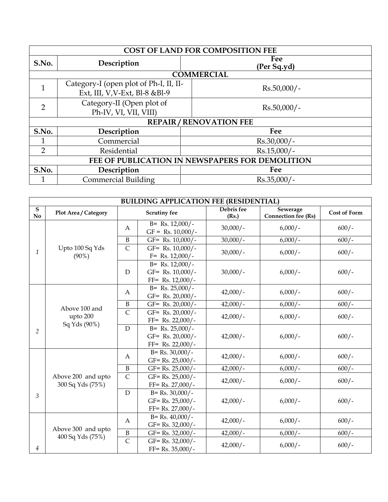| <b>COST OF LAND FOR COMPOSITION FEE</b>         |                                                                           |                    |  |  |  |  |  |
|-------------------------------------------------|---------------------------------------------------------------------------|--------------------|--|--|--|--|--|
| S.No.                                           | Description                                                               | Fee<br>(Per Sq.yd) |  |  |  |  |  |
|                                                 | <b>COMMERCIAL</b>                                                         |                    |  |  |  |  |  |
|                                                 | Category-I (open plot of Ph-I, II, II-<br>Ext, III, V, V-Ext, Bl-8 & Bl-9 | $Rs.50,000/-$      |  |  |  |  |  |
| $\overline{2}$                                  | Category-II (Open plot of<br>Ph-IV, VI, VII, VIII)                        | $Rs.50,000/-$      |  |  |  |  |  |
| <b>REPAIR/RENOVATION FEE</b>                    |                                                                           |                    |  |  |  |  |  |
| S.No.                                           | Description                                                               | Fee                |  |  |  |  |  |
|                                                 | Commercial                                                                | $Rs.30,000/-$      |  |  |  |  |  |
| 2                                               | $Rs.15,000/-$<br>Residential                                              |                    |  |  |  |  |  |
| FEE OF PUBLICATION IN NEWSPAPERS FOR DEMOLITION |                                                                           |                    |  |  |  |  |  |
| S.No.                                           | Description                                                               | Fee                |  |  |  |  |  |
|                                                 | <b>Commercial Building</b>                                                | $Rs.35,000/-$      |  |  |  |  |  |

| <b>BUILDING APPLICATION FEE (RESIDENTIAL)</b> |                                           |                         |                                                                     |                     |                                        |              |
|-----------------------------------------------|-------------------------------------------|-------------------------|---------------------------------------------------------------------|---------------------|----------------------------------------|--------------|
| ${\bf S}$<br>$\mathbf{N}\mathbf{o}$           | Plot Area / Category                      |                         | <b>Scrutiny fee</b>                                                 | Debris fee<br>(Rs.) | Sewerage<br><b>Connection fee (Rs)</b> | Cost of Form |
|                                               |                                           | A                       | $B = Rs. 12,000/$ -<br>$GF = Rs. 10,000/$ -                         | $30,000/-$          | $6,000/-$                              | $600/-$      |
|                                               | Upto 100 Sq Yds<br>$(90\%)$               | $\, {\bf B}$            | GF= Rs. 10,000/-                                                    | $30,000/-$          | $6,000/-$                              | $600/-$      |
| $\mathcal{I}$                                 |                                           | $\overline{C}$          | GF= Rs. $10,000/$ -<br>$F =$ Rs. 12,000/-                           | $30,000/-$          | $6,000/-$                              | $600/-$      |
|                                               |                                           | $\mathbf D$             | $B = Rs. 12,000/$ -<br>GF= Rs. 10,000/-<br>$FF = Rs. 12,000/$ -     | $30,000/-$          | $6,000/-$                              | $600/-$      |
|                                               |                                           | A                       | $B = Rs. 25,000/$ -<br>GF= Rs. 20,000/-                             | $42,000/-$          | $6,000/-$                              | $600/-$      |
|                                               |                                           | $\, {\bf B}$            | GF= Rs. $20,000/$ -                                                 | $42,000/-$          | $6,000/-$                              | $600/-$      |
|                                               | Above 100 and<br>upto 200<br>Sq Yds (90%) | $\overline{\mathsf{C}}$ | GF= Rs. 20,000/-<br>$FF = Rs. 22,000/$ -                            | $42,000/-$          | $6,000/-$                              | $600/-$      |
| 2                                             |                                           | D                       | $B = Rs. 25,000/$ -<br>GF= Rs. 20,000/-<br>$FF = Rs. 22,000/$ -     | $42,000/-$          | $6,000/-$                              | $600/-$      |
|                                               | Above 200 and upto<br>300 Sq Yds (75%)    | A                       | $B = Rs. 30,000/$ -<br>$GF = Rs. 25,000/$ -                         | $42,000/-$          | $6,000/-$                              | $600/-$      |
|                                               |                                           | $\, {\bf B}$            | $GF = Rs. 25,000/$ -                                                | $42,000/-$          | $6,000/-$                              | $600/-$      |
| 3                                             |                                           | $\mathsf{C}$            | $GF = Rs. 25,000/$ -<br>$FF = Rs. 27,000/$ -                        | $42,000/-$          | $6,000/-$                              | $600/-$      |
|                                               |                                           | D                       | $B = Rs. 30,000/$ -<br>$GF = Rs. 25,000/$ -<br>$FF = Rs. 27,000/$ - | $42,000/-$          | $6,000/-$                              | $600/-$      |
|                                               | Above 300 and upto<br>400 Sq Yds (75%)    | A                       | $B = Rs. 40,000/$ -<br>$GF = Rs. 32,000/$ -                         | $42,000/-$          | $6,000/-$                              | $600/-$      |
|                                               |                                           | $\, {\bf B}$            | GF= Rs. 32,000/-                                                    | $42,000/-$          | $6,000/-$                              | $600/-$      |
| 4                                             |                                           | $\overline{C}$          | GF= Rs. 32,000/-<br>$FF = Rs. 35,000/$ -                            | $42,000/-$          | $6,000/-$                              | $600/-$      |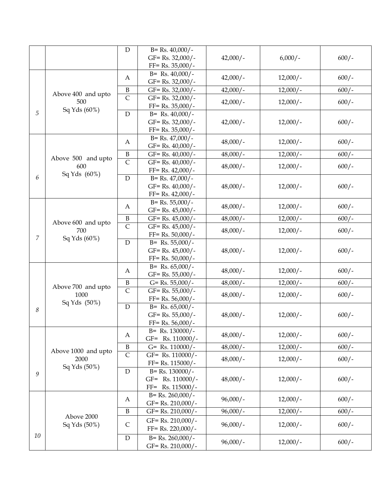|                            |                             | D                     | $B = Rs. 40,000/$ -                      |            |            |         |
|----------------------------|-----------------------------|-----------------------|------------------------------------------|------------|------------|---------|
|                            |                             |                       | $GF = Rs. 32,000/$ -                     | $42,000/-$ | $6,000/-$  | $600/-$ |
|                            |                             |                       | $FF = Rs. 35,000/$ -                     |            |            |         |
|                            |                             | A                     | $B = Rs. 40,000/$ -                      | $42,000/-$ | $12,000/-$ | $600/-$ |
|                            | Above 400 and upto          |                       | $GF = Rs. 32,000/$ -                     |            |            |         |
|                            |                             | $\mathbf B$           | $GF = Rs. 32,000/$ -                     | $42,000/-$ | $12,000/-$ | $600/-$ |
|                            | 500                         | $\overline{\text{C}}$ | $GF = Rs. 32,000/$ -                     | $42,000/-$ | $12,000/-$ | $600/-$ |
|                            | Sq Yds (60%)                |                       | $FF = Rs. 35,000/$ -                     |            |            |         |
| 5                          |                             | $\mathbf D$           | $B = Rs. 40,000/$ -                      | $42,000/-$ |            |         |
|                            |                             |                       | $GF = Rs. 32,000/$ -                     |            | $12,000/-$ | $600/-$ |
|                            |                             |                       | $FF = Rs. 35,000/$ -                     |            |            |         |
|                            |                             | A                     | $B = Rs. 47,000/$ -                      | $48,000/-$ | $12,000/-$ | $600/-$ |
|                            |                             |                       | GF= Rs. $40,000/$ -                      |            |            |         |
|                            | Above 500 and upto          | $\, {\bf B}$          | $GF = Rs. 40,000/$ -                     | $48,000/-$ | $12,000/-$ | $600/-$ |
|                            | 600                         | $\overline{C}$        | $GF = Rs. 40,000/$ -                     | $48,000/-$ | $12,000/-$ | $600/-$ |
| 6                          | Sq Yds (60%)                |                       | $FF = Rs. 42,000/$ -                     |            |            |         |
|                            |                             | $\mathbf D$           | $B = Rs. 47,000/$ -                      |            |            | $600/-$ |
|                            |                             |                       | GF= Rs. 40,000/-<br>$FF = Rs. 42,000/$ - | $48,000/-$ | $12,000/-$ |         |
|                            |                             |                       | $B = Rs. 55,000/$ -                      |            |            |         |
|                            |                             | A                     | $GF = Rs. 45,000/$ -                     | $48,000/-$ | $12,000/-$ | $600/-$ |
|                            | Above 600 and upto<br>700   | $\, {\bf B}$          | GF= Rs. $45,000/$ -                      | $48,000/-$ | $12,000/-$ | $600/-$ |
|                            |                             | $\overline{C}$        | $GF = Rs. 45,000/$ -                     |            |            |         |
|                            |                             |                       | $FF = Rs. 50,000/$ -                     | $48,000/-$ | $12,000/-$ | $600/-$ |
| $\overline{7}$             | Sq Yds (60%)                | $\mathbf D$           | $B = Rs. 55,000/$ -                      | $48,000/-$ | $12,000/-$ | $600/-$ |
|                            |                             |                       | $GF = Rs. 45,000/$ -                     |            |            |         |
|                            |                             |                       | $FF = Rs. 50,000/$ -                     |            |            |         |
|                            |                             |                       | $B = Rs. 65,000/$ -                      |            |            |         |
|                            |                             | A                     | $GF = Rs. 55,000/$ -                     | $48,000/-$ | $12,000/-$ | $600/-$ |
|                            |                             | $\, {\bf B}$          | $G=$ Rs. 55,000/-                        | $48,000/-$ | $12,000/-$ | $600/-$ |
|                            | Above 700 and upto<br>1000  | $\mathsf{C}$          | $GF = Rs. 55,000/$ -                     | $48,000/-$ | $12,000/-$ | $600/-$ |
|                            | Sq Yds (50%)                |                       | $FF = Rs. 56,000/$ -                     |            |            |         |
| 8                          |                             | $\mathbf D$           | $B = Rs. 65,000/$ -                      |            |            |         |
|                            |                             |                       | $GF = Rs. 55,000/$ -                     | $48,000/-$ | $12,000/-$ | $600/-$ |
|                            |                             |                       | $FF = Rs. 56,000/$ -                     |            |            |         |
|                            |                             | A                     | $B =$ Rs. 130000/-                       | $48,000/-$ | $12,000/-$ | $600/-$ |
|                            | Above 1000 and upto<br>2000 |                       | GF= Rs. 110000/-                         |            |            |         |
|                            |                             | $\boldsymbol{B}$      | $G=$ Rs. 110000/-                        | $48,000/-$ | $12,000/-$ | $600/-$ |
|                            |                             | $\mathsf{C}$          | GF= Rs. 110000/-<br>FF= Rs. 115000/-     | $48,000/-$ | $12,000/-$ | $600/-$ |
|                            | Sq Yds (50%)                | D                     | $B = Rs. 130000/-$                       |            |            |         |
|                            | $\boldsymbol{9}$            |                       | GF= Rs. 110000/-                         | $48,000/-$ | $12,000/-$ | $600/-$ |
|                            |                             |                       | FF= Rs. 115000/-                         |            |            |         |
|                            |                             |                       | $B = Rs. 260,000/$ -                     |            |            |         |
|                            |                             | A                     | GF= Rs. 210,000/-                        | $96,000/-$ | $12,000/-$ | $600/-$ |
|                            |                             | $\, {\bf B}$          | GF= Rs. 210,000/-                        | $96,000/-$ | $12,000/-$ | $600/-$ |
| Above 2000<br>Sq Yds (50%) |                             |                       | GF= Rs. 210,000/-                        |            |            |         |
|                            |                             | $\mathsf C$           | FF= Rs. 220,000/-                        | $96,000/-$ | $12,000/-$ | $600/-$ |
| $10\,$                     |                             | ${\rm D}$             | $B = Rs. 260,000/$ -                     |            |            |         |
|                            |                             |                       | GF= Rs. 210,000/-                        | $96,000/-$ | $12,000/-$ | $600/-$ |
|                            |                             |                       |                                          |            |            |         |